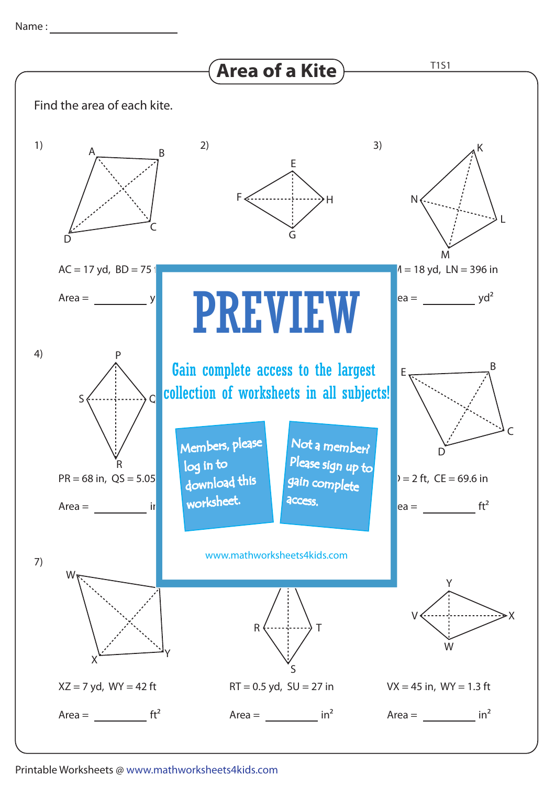